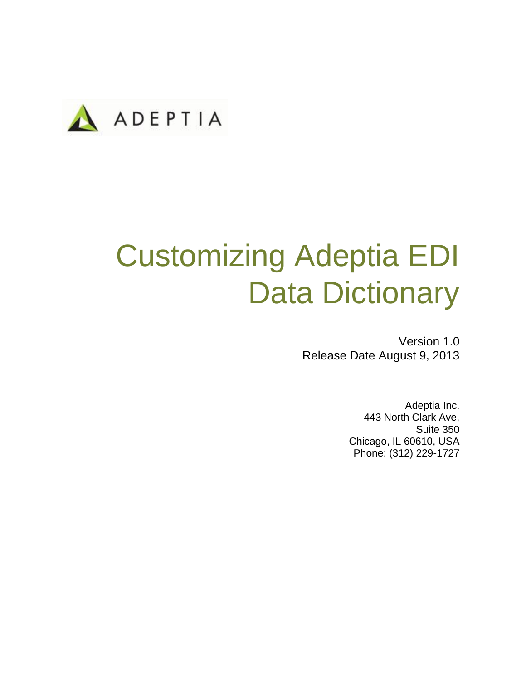

# Customizing Adeptia EDI Data Dictionary

Version 1.0 Release Date August 9, 2013

> Adeptia Inc. 443 North Clark Ave, Suite 350 Chicago, IL 60610, USA Phone: (312) 229-1727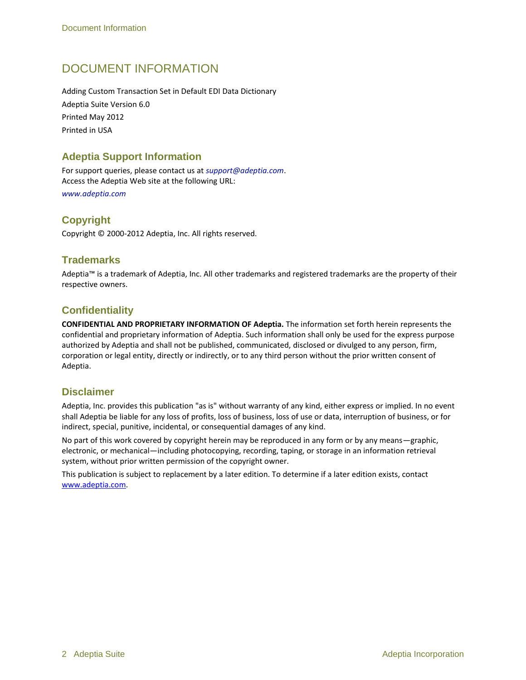### DOCUMENT INFORMATION

Adding Custom Transaction Set in Default EDI Data Dictionary Adeptia Suite Version 6.0 Printed May 2012 Printed in USA

#### **Adeptia Support Information**

For support queries, please contact us at *support@adeptia.com*. Access the Adeptia Web site at the following URL: *www.adeptia.com*

**Copyright**

Copyright © 2000-2012 Adeptia, Inc. All rights reserved.

#### **Trademarks**

Adeptia™ is a trademark of Adeptia, Inc. All other trademarks and registered trademarks are the property of their respective owners.

#### **Confidentiality**

**CONFIDENTIAL AND PROPRIETARY INFORMATION OF Adeptia.** The information set forth herein represents the confidential and proprietary information of Adeptia. Such information shall only be used for the express purpose authorized by Adeptia and shall not be published, communicated, disclosed or divulged to any person, firm, corporation or legal entity, directly or indirectly, or to any third person without the prior written consent of Adeptia.

#### **Disclaimer**

Adeptia, Inc. provides this publication "as is" without warranty of any kind, either express or implied. In no event shall Adeptia be liable for any loss of profits, loss of business, loss of use or data, interruption of business, or for indirect, special, punitive, incidental, or consequential damages of any kind.

No part of this work covered by copyright herein may be reproduced in any form or by any means—graphic, electronic, or mechanical—including photocopying, recording, taping, or storage in an information retrieval system, without prior written permission of the copyright owner.

This publication is subject to replacement by a later edition. To determine if a later edition exists, contact [www.adeptia.com.](http://www.adeptia.com/)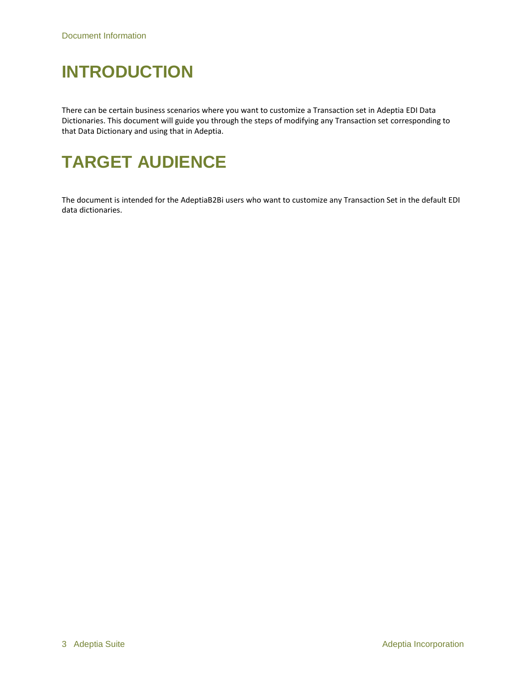## **INTRODUCTION**

There can be certain business scenarios where you want to customize a Transaction set in Adeptia EDI Data Dictionaries. This document will guide you through the steps of modifying any Transaction set corresponding to that Data Dictionary and using that in Adeptia.

### **TARGET AUDIENCE**

The document is intended for the AdeptiaB2Bi users who want to customize any Transaction Set in the default EDI data dictionaries.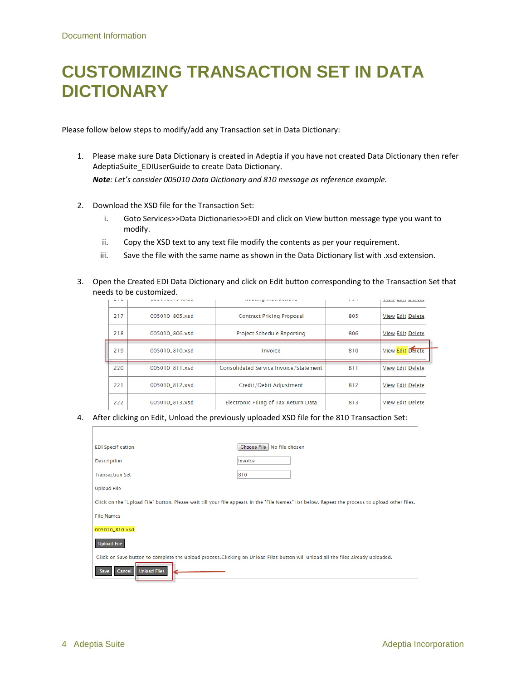### **CUSTOMIZING TRANSACTION SET IN DATA DICTIONARY**

Please follow below steps to modify/add any Transaction set in Data Dictionary:

- 1. Please make sure Data Dictionary is created in Adeptia if you have not created Data Dictionary then refer AdeptiaSuite\_EDIUserGuide to create Data Dictionary. *Note: Let's consider 005010 Data Dictionary and 810 message as reference example.*
- 2. Download the XSD file for the Transaction Set:
	- i. Goto Services>>Data Dictionaries>>EDI and click on View button message type you want to modify.
	- ii. Copy the XSD text to any text file modify the contents as per your requirement.
	- iii. Save the file with the same name as shown in the Data Dictionary list with .xsd extension.
- 3. Open the Created EDI Data Dictionary and click on Edit button corresponding to the Transaction Set that needs to be customized.

|  |     | <b>MM W M M L F W THANK</b> | <b>COMMERCIAL CONSTRUCTION</b>         | $\sim$ $\sim$ $\sim$ | <b>FINISH MAIN MONTHLY</b> |  |
|--|-----|-----------------------------|----------------------------------------|----------------------|----------------------------|--|
|  | 217 | 005010 805.xsd              | <b>Contract Pricing Proposal</b>       | 805                  | <b>View Edit Delete</b>    |  |
|  | 218 | 005010_806.xsd              | Project Schedule Reporting             | 806                  | <b>View Edit Delete</b>    |  |
|  | 219 | 005010_810.xsd              | Invoice                                | 810                  | <b>View Edit Delete</b>    |  |
|  | 220 | 005010_811.xsd              | Consolidated Service Invoice/Statement | 811                  | View Edit Delete           |  |
|  | 221 | 005010_812.xsd              | Credit/Debit Adjustment                | 812                  | <b>View Edit Delete</b>    |  |
|  | 222 | 005010 813.xsd              | Electronic Filing of Tax Return Data   | 813                  | View Edit Delete           |  |

#### 4. After clicking on Edit, Unload the previously uploaded XSD file for the 810 Transaction Set:

| <b>EDI Specification</b>                                                                                                                        | Choose File   No file chosen |  |  |  |  |  |
|-------------------------------------------------------------------------------------------------------------------------------------------------|------------------------------|--|--|--|--|--|
| <b>Description</b>                                                                                                                              | Invoice                      |  |  |  |  |  |
| <b>Transaction Set</b>                                                                                                                          | 810                          |  |  |  |  |  |
| <b>Upload File</b>                                                                                                                              |                              |  |  |  |  |  |
| Click on the "Upload File" button. Please wait till your file appears in the "File Names" list below. Repeat the process to upload other files. |                              |  |  |  |  |  |
| <b>File Names</b>                                                                                                                               |                              |  |  |  |  |  |
| 005010_810.xsd                                                                                                                                  |                              |  |  |  |  |  |
| <b>Upload File</b>                                                                                                                              |                              |  |  |  |  |  |
| Click on Save button to complete the upload process. Clicking on Unload Files button will unload all the files already uploaded.                |                              |  |  |  |  |  |
| <b>Unload Files</b><br>Cancel<br><b>Save</b>                                                                                                    |                              |  |  |  |  |  |